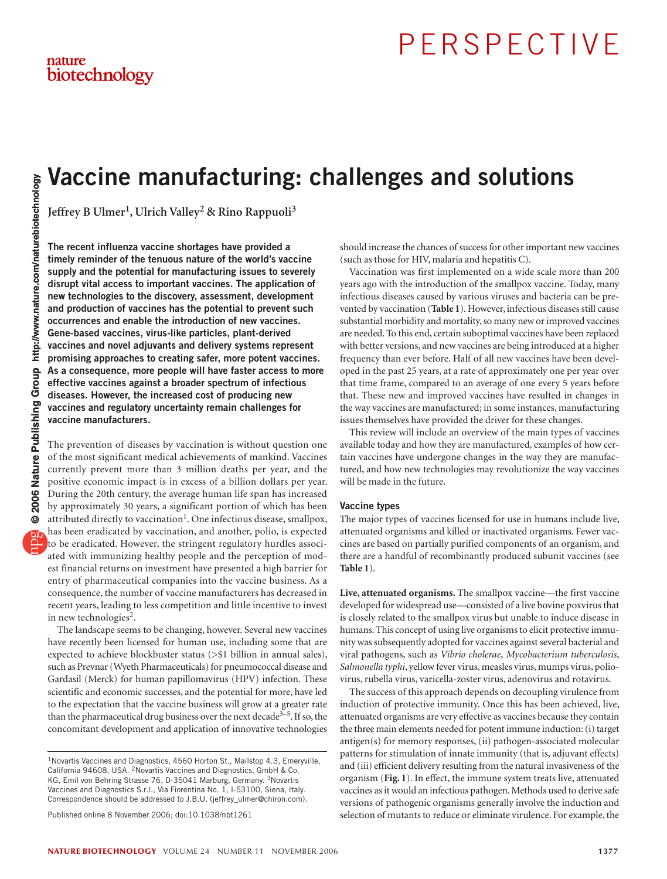# PERSPECTIVE

## **Vaccine manufacturing: challenges and solutions**

**Jeffrey B Ulmer1, Ulrich Valley2 & Rino Rappuoli3**

http://www.nature.com/naturebiotechnology **© 2006 Nature Publishing Group http://www.nature.com/naturebiotechnology**Group **Publishing** 2006 Nature  $\odot$ 

**The recent influenza vaccine shortages have provided a timely reminder of the tenuous nature of the world's vaccine supply and the potential for manufacturing issues to severely disrupt vital access to important vaccines. The application of new technologies to the discovery, assessment, development and production of vaccines has the potential to prevent such occurrences and enable the introduction of new vaccines. Gene-based vaccines, virus-like particles, plant-derived vaccines and novel adjuvants and delivery systems represent promising approaches to creating safer, more potent vaccines. As a consequence, more people will have faster access to more effective vaccines against a broader spectrum of infectious diseases. However, the increased cost of producing new vaccines and regulatory uncertainty remain challenges for vaccine manufacturers.**

The prevention of diseases by vaccination is without question one of the most significant medical achievements of mankind. Vaccines currently prevent more than 3 million deaths per year, and the positive economic impact is in excess of a billion dollars per year. During the 20th century, the average human life span has increased by approximately 30 years, a significant portion of which has been attributed directly to vaccination<sup>1</sup>. One infectious disease, smallpox, has been eradicated by vaccination, and another, polio, is expected to be eradicated. However, the stringent regulatory hurdles associated with immunizing healthy people and the perception of modest financial returns on investment have presented a high barrier for entry of pharmaceutical companies into the vaccine business. As a consequence, the number of vaccine manufacturers has decreased in recent years, leading to less competition and little incentive to invest in new technologies<sup>2</sup>.

The landscape seems to be changing, however. Several new vaccines have recently been licensed for human use, including some that are expected to achieve blockbuster status (>\$1 billion in annual sales), such as Prevnar (Wyeth Pharmaceuticals) for pneumococcal disease and Gardasil (Merck) for human papillomavirus (HPV) infection. These scientific and economic successes, and the potential for more, have led to the expectation that the vaccine business will grow at a greater rate than the pharmaceutical drug business over the next decade<sup>3–5</sup>. If so, the concomitant development and application of innovative technologies

Published online 8 November 2006; doi:10.1038/nbt1261

should increase the chances of success for other important new vaccines (such as those for HIV, malaria and hepatitis C).

Vaccination was first implemented on a wide scale more than 200 years ago with the introduction of the smallpox vaccine. Today, many infectious diseases caused by various viruses and bacteria can be prevented by vaccination (**Table 1**). However, infectious diseases still cause substantial morbidity and mortality, so many new or improved vaccines are needed. To this end, certain suboptimal vaccines have been replaced with better versions, and new vaccines are being introduced at a higher frequency than ever before. Half of all new vaccines have been developed in the past 25 years, at a rate of approximately one per year over that time frame, compared to an average of one every 5 years before that. These new and improved vaccines have resulted in changes in the way vaccines are manufactured; in some instances, manufacturing issues themselves have provided the driver for these changes.

This review will include an overview of the main types of vaccines available today and how they are manufactured, examples of how certain vaccines have undergone changes in the way they are manufactured, and how new technologies may revolutionize the way vaccines will be made in the future.

#### **Vaccine types**

The major types of vaccines licensed for use in humans include live, attenuated organisms and killed or inactivated organisms. Fewer vaccines are based on partially purified components of an organism, and there are a handful of recombinantly produced subunit vaccines (see **Table 1**).

**Live, attenuated organisms.** The smallpox vaccine—the first vaccine developed for widespread use—consisted of a live bovine poxvirus that is closely related to the smallpox virus but unable to induce disease in humans. This concept of using live organisms to elicit protective immunity was subsequently adopted for vaccines against several bacterial and viral pathogens, such as *Vibrio cholerae*, *Mycobacterium tuberculosis*, *Salmonella typhi*, yellow fever virus, measles virus, mumps virus, poliovirus, rubella virus, varicella-zoster virus, adenovirus and rotavirus.

The success of this approach depends on decoupling virulence from induction of protective immunity. Once this has been achieved, live, attenuated organisms are very effective as vaccines because they contain the three main elements needed for potent immune induction: (i) target antigen(s) for memory responses, (ii) pathogen-associated molecular patterns for stimulation of innate immunity (that is, adjuvant effects) and (iii) efficient delivery resulting from the natural invasiveness of the organism (**Fig. 1**). In effect, the immune system treats live, attenuated vaccines as it would an infectious pathogen. Methods used to derive safe versions of pathogenic organisms generally involve the induction and selection of mutants to reduce or eliminate virulence. For example, the

<sup>1</sup>Novartis Vaccines and Diagnostics, 4560 Horton St., Mailstop 4.3, Emeryville, California 94608, USA. 2Novartis Vaccines and Diagnostics, GmbH & Co. KG, Emil von Behring Strasse 76, D-35041 Marburg, Germany. 3Novartis Vaccines and Diagnostics S.r.l., Via Fiorentina No. 1, I-53100, Siena, Italy. Correspondence should be addressed to J.B.U. (jeffrey\_ulmer@chiron.com).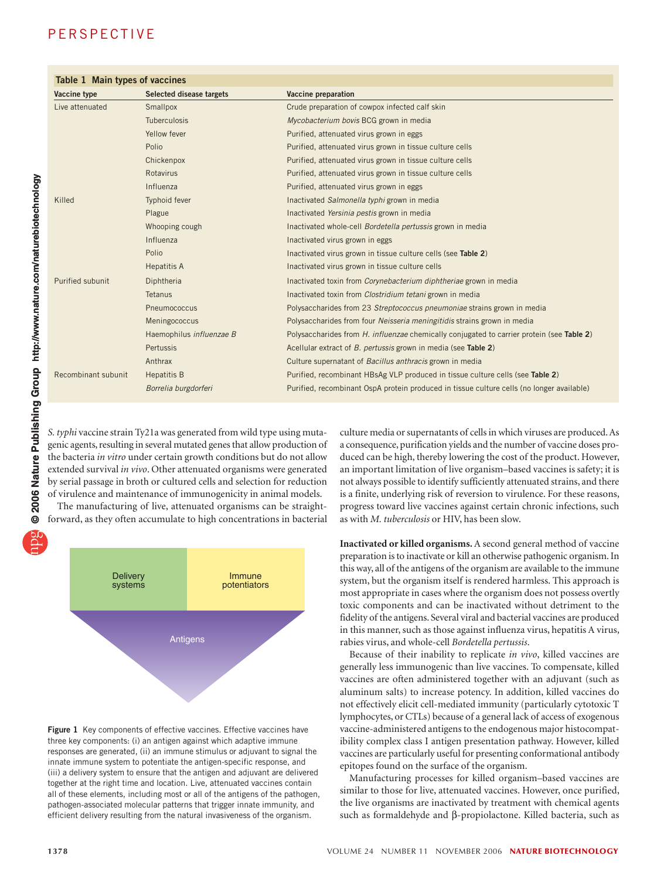## **PERSPECTIVE**

| Table 1 Main types of vaccines |                          |                                                                                           |
|--------------------------------|--------------------------|-------------------------------------------------------------------------------------------|
| Vaccine type                   | Selected disease targets | Vaccine preparation                                                                       |
| Live attenuated                | Smallpox                 | Crude preparation of cowpox infected calf skin                                            |
|                                | <b>Tuberculosis</b>      | Mycobacterium bovis BCG grown in media                                                    |
|                                | Yellow fever             | Purified, attenuated virus grown in eggs                                                  |
|                                | Polio                    | Purified, attenuated virus grown in tissue culture cells                                  |
|                                | Chickenpox               | Purified, attenuated virus grown in tissue culture cells                                  |
|                                | Rotavirus                | Purified, attenuated virus grown in tissue culture cells                                  |
|                                | Influenza                | Purified, attenuated virus grown in eggs                                                  |
| Killed                         | Typhoid fever            | Inactivated Salmonella typhi grown in media                                               |
|                                | Plague                   | Inactivated Yersinia pestis grown in media                                                |
|                                | Whooping cough           | Inactivated whole-cell Bordetella pertussis grown in media                                |
|                                | Influenza                | Inactivated virus grown in eggs                                                           |
|                                | Polio                    | Inactivated virus grown in tissue culture cells (see Table 2)                             |
|                                | <b>Hepatitis A</b>       | Inactivated virus grown in tissue culture cells                                           |
| Purified subunit               | Diphtheria               | Inactivated toxin from <i>Corynebacterium diphtheriae</i> grown in media                  |
|                                | <b>Tetanus</b>           | Inactivated toxin from Clostridium tetani grown in media                                  |
|                                | Pneumococcus             | Polysaccharides from 23 Streptococcus pneumoniae strains grown in media                   |
|                                | Meningococcus            | Polysaccharides from four Neisseria meningitidis strains grown in media                   |
|                                | Haemophilus influenzae B | Polysaccharides from H. influenzae chemically conjugated to carrier protein (see Table 2) |
|                                | Pertussis                | Acellular extract of B. pertussis grown in media (see Table 2)                            |
|                                | Anthrax                  | Culture supernatant of Bacillus anthracis grown in media                                  |
| Recombinant subunit            | <b>Hepatitis B</b>       | Purified, recombinant HBsAg VLP produced in tissue culture cells (see Table 2)            |
|                                | Borrelia burgdorferi     | Purified, recombinant OspA protein produced in tissue culture cells (no longer available) |

*S. typhi* vaccine strain Ty21a was generated from wild type using mutagenic agents, resulting in several mutated genes that allow production of the bacteria *in vitro* under certain growth conditions but do not allow extended survival *in vivo*. Other attenuated organisms were generated by serial passage in broth or cultured cells and selection for reduction of virulence and maintenance of immunogenicity in animal models.

The manufacturing of live, attenuated organisms can be straight-

forward, as they often accumulate to high concentrations in bacterial



**Figure 1** Key components of effective vaccines. Effective vaccines have three key components: (i) an antigen against which adaptive immune responses are generated, (ii) an immune stimulus or adjuvant to signal the innate immune system to potentiate the antigen-specific response, and (iii) a delivery system to ensure that the antigen and adjuvant are delivered together at the right time and location. Live, attenuated vaccines contain all of these elements, including most or all of the antigens of the pathogen, pathogen-associated molecular patterns that trigger innate immunity, and efficient delivery resulting from the natural invasiveness of the organism.

culture media or supernatants of cells in which viruses are produced. As a consequence, purification yields and the number of vaccine doses produced can be high, thereby lowering the cost of the product. However, an important limitation of live organism–based vaccines is safety; it is not always possible to identify sufficiently attenuated strains, and there is a finite, underlying risk of reversion to virulence. For these reasons, progress toward live vaccines against certain chronic infections, such as with *M. tuberculosis* or HIV, has been slow.

**Inactivated or killed organisms.** A second general method of vaccine preparation is to inactivate or kill an otherwise pathogenic organism. In this way, all of the antigens of the organism are available to the immune system, but the organism itself is rendered harmless. This approach is most appropriate in cases where the organism does not possess overtly toxic components and can be inactivated without detriment to the fidelity of the antigens. Several viral and bacterial vaccines are produced in this manner, such as those against influenza virus, hepatitis A virus, rabies virus, and whole-cell *Bordetella pertussis*.

Because of their inability to replicate *in vivo*, killed vaccines are generally less immunogenic than live vaccines. To compensate, killed vaccines are often administered together with an adjuvant (such as aluminum salts) to increase potency. In addition, killed vaccines do not effectively elicit cell-mediated immunity (particularly cytotoxic T lymphocytes, or CTLs) because of a general lack of access of exogenous vaccine-administered antigens to the endogenous major histocompatibility complex class I antigen presentation pathway. However, killed vaccines are particularly useful for presenting conformational antibody epitopes found on the surface of the organism.

Manufacturing processes for killed organism–based vaccines are similar to those for live, attenuated vaccines. However, once purified, the live organisms are inactivated by treatment with chemical agents such as formaldehyde and β-propiolactone. Killed bacteria, such as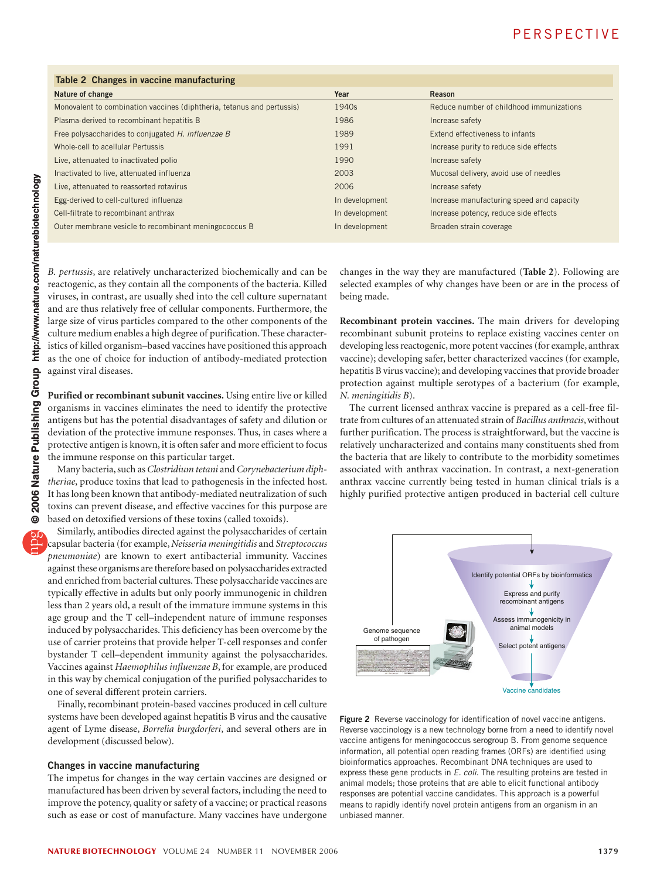## **PERSPECTIVE**

| Table 2 Changes in vaccine manufacturing                               |                |                                           |  |  |  |
|------------------------------------------------------------------------|----------------|-------------------------------------------|--|--|--|
| Nature of change                                                       | Year           | <b>Reason</b>                             |  |  |  |
| Monovalent to combination vaccines (diphtheria, tetanus and pertussis) | 1940s          | Reduce number of childhood immunizations  |  |  |  |
| Plasma-derived to recombinant hepatitis B                              | 1986           | Increase safety                           |  |  |  |
| Free polysaccharides to conjugated H. influenzae B                     | 1989           | Extend effectiveness to infants           |  |  |  |
| Whole-cell to acellular Pertussis                                      | 1991           | Increase purity to reduce side effects    |  |  |  |
| Live, attenuated to inactivated polio                                  | 1990           | Increase safety                           |  |  |  |
| Inactivated to live, attenuated influenza                              | 2003           | Mucosal delivery, avoid use of needles    |  |  |  |
| Live, attenuated to reassorted rotavirus                               | 2006           | Increase safety                           |  |  |  |
| Egg-derived to cell-cultured influenza                                 | In development | Increase manufacturing speed and capacity |  |  |  |
| Cell-filtrate to recombinant anthrax                                   | In development | Increase potency, reduce side effects     |  |  |  |
| Outer membrane vesicle to recombinant meningococcus B                  | In development | Broaden strain coverage                   |  |  |  |

*B. pertussis*, are relatively uncharacterized biochemically and can be reactogenic, as they contain all the components of the bacteria. Killed viruses, in contrast, are usually shed into the cell culture supernatant and are thus relatively free of cellular components. Furthermore, the large size of virus particles compared to the other components of the culture medium enables a high degree of purification. These characteristics of killed organism–based vaccines have positioned this approach as the one of choice for induction of antibody-mediated protection against viral diseases.

**Purified or recombinant subunit vaccines.** Using entire live or killed organisms in vaccines eliminates the need to identify the protective antigens but has the potential disadvantages of safety and dilution or deviation of the protective immune responses. Thus, in cases where a protective antigen is known, it is often safer and more efficient to focus the immune response on this particular target.

Many bacteria, such as *Clostridium tetani* and *Corynebacterium diphtheriae*, produce toxins that lead to pathogenesis in the infected host. It has long been known that antibody-mediated neutralization of such toxins can prevent disease, and effective vaccines for this purpose are based on detoxified versions of these toxins (called toxoids).

Similarly, antibodies directed against the polysaccharides of certain capsular bacteria (for example, *Neisseria meningitidis* and *Streptococcus pneumoniae*) are known to exert antibacterial immunity. Vaccines against these organisms are therefore based on polysaccharides extracted and enriched from bacterial cultures. These polysaccharide vaccines are typically effective in adults but only poorly immunogenic in children less than 2 years old, a result of the immature immune systems in this age group and the T cell–independent nature of immune responses induced by polysaccharides. This deficiency has been overcome by the use of carrier proteins that provide helper T-cell responses and confer bystander T cell–dependent immunity against the polysaccharides. Vaccines against *Haemophilus influenzae B*, for example, are produced in this way by chemical conjugation of the purified polysaccharides to one of several different protein carriers.

Finally, recombinant protein-based vaccines produced in cell culture systems have been developed against hepatitis B virus and the causative agent of Lyme disease, *Borrelia burgdorferi*, and several others are in development (discussed below).

#### **Changes in vaccine manufacturing**

The impetus for changes in the way certain vaccines are designed or manufactured has been driven by several factors, including the need to improve the potency, quality or safety of a vaccine; or practical reasons such as ease or cost of manufacture. Many vaccines have undergone

changes in the way they are manufactured (**Table 2**). Following are selected examples of why changes have been or are in the process of being made.

**Recombinant protein vaccines.** The main drivers for developing recombinant subunit proteins to replace existing vaccines center on developing less reactogenic, more potent vaccines (for example, anthrax vaccine); developing safer, better characterized vaccines (for example, hepatitis B virus vaccine); and developing vaccines that provide broader protection against multiple serotypes of a bacterium (for example, *N. meningitidis B*).

The current licensed anthrax vaccine is prepared as a cell-free filtrate from cultures of an attenuated strain of *Bacillus anthracis*, without further purification. The process is straightforward, but the vaccine is relatively uncharacterized and contains many constituents shed from the bacteria that are likely to contribute to the morbidity sometimes associated with anthrax vaccination. In contrast, a next-generation anthrax vaccine currently being tested in human clinical trials is a highly purified protective antigen produced in bacterial cell culture



**Figure 2** Reverse vaccinology for identification of novel vaccine antigens. Reverse vaccinology is a new technology borne from a need to identify novel vaccine antigens for meningococcus serogroup B. From genome sequence information, all potential open reading frames (ORFs) are identified using bioinformatics approaches. Recombinant DNA techniques are used to express these gene products in *E. coli*. The resulting proteins are tested in animal models; those proteins that are able to elicit functional antibody responses are potential vaccine candidates. This approach is a powerful means to rapidly identify novel protein antigens from an organism in an unbiased manner.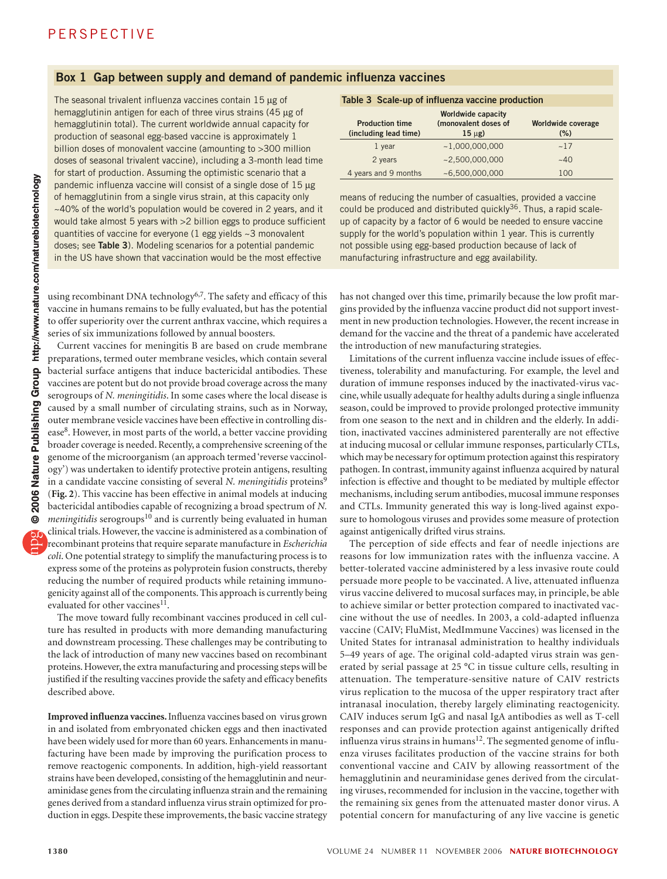## **Box 1 Gap between supply and demand of pandemic influenza vaccines**

The seasonal trivalent influenza vaccines contain 15 µg of hemagglutinin antigen for each of three virus strains (45 µg of hemagglutinin total). The current worldwide annual capacity for production of seasonal egg-based vaccine is approximately 1 billion doses of monovalent vaccine (amounting to >300 million doses of seasonal trivalent vaccine), including a 3-month lead time for start of production. Assuming the optimistic scenario that a pandemic influenza vaccine will consist of a single dose of 15 µg of hemagglutinin from a single virus strain, at this capacity only ~40% of the world's population would be covered in 2 years, and it would take almost 5 years with >2 billion eggs to produce sufficient quantities of vaccine for everyone (1 egg yields ~3 monovalent doses; see **Table 3**). Modeling scenarios for a potential pandemic in the US have shown that vaccination would be the most effective

### **Table 3 Scale-up of influenza vaccine production**

| <b>Production time</b><br>(including lead time) | <b>Worldwide capacity</b><br>(monovalent doses of<br>$15 \mu g$ | Worldwide coverage<br>(% ) |
|-------------------------------------------------|-----------------------------------------------------------------|----------------------------|
| $1$ year                                        | ~1,000,000,000                                                  | ~17                        |
| 2 years                                         | ~2,500,000,000                                                  | $-40$                      |
| 4 years and 9 months                            | ~500,000,000                                                    | 100                        |

means of reducing the number of casualties, provided a vaccine could be produced and distributed quickly<sup>36</sup>. Thus, a rapid scaleup of capacity by a factor of 6 would be needed to ensure vaccine supply for the world's population within 1 year. This is currently not possible using egg-based production because of lack of manufacturing infrastructure and egg availability.

using recombinant DNA technology<sup>6,7</sup>. The safety and efficacy of this vaccine in humans remains to be fully evaluated, but has the potential to offer superiority over the current anthrax vaccine, which requires a series of six immunizations followed by annual boosters.

Current vaccines for meningitis B are based on crude membrane preparations, termed outer membrane vesicles, which contain several bacterial surface antigens that induce bactericidal antibodies. These vaccines are potent but do not provide broad coverage across the many serogroups of *N. meningitidis*. In some cases where the local disease is caused by a small number of circulating strains, such as in Norway, outer membrane vesicle vaccines have been effective in controlling disease<sup>8</sup>. However, in most parts of the world, a better vaccine providing broader coverage is needed. Recently, a comprehensive screening of the genome of the microorganism (an approach termed 'reverse vaccinology') was undertaken to identify protective protein antigens, resulting in a candidate vaccine consisting of several *N. meningitidis* proteins<sup>9</sup> (**Fig. 2**). This vaccine has been effective in animal models at inducing bactericidal antibodies capable of recognizing a broad spectrum of *N. meningitidis* serogroups<sup>10</sup> and is currently being evaluated in human clinical trials. However, the vaccine is administered as a combination of recombinant proteins that require separate manufacture in *Escherichia coli*. One potential strategy to simplify the manufacturing process is to express some of the proteins as polyprotein fusion constructs, thereby reducing the number of required products while retaining immunogenicity against all of the components. This approach is currently being evaluated for other vaccines<sup>11</sup>.

The move toward fully recombinant vaccines produced in cell culture has resulted in products with more demanding manufacturing and downstream processing. These challenges may be contributing to the lack of introduction of many new vaccines based on recombinant proteins. However, the extra manufacturing and processing steps will be justified if the resulting vaccines provide the safety and efficacy benefits described above.

**Improved influenza vaccines.** Influenza vaccines based on virus grown in and isolated from embryonated chicken eggs and then inactivated have been widely used for more than 60 years. Enhancements in manufacturing have been made by improving the purification process to remove reactogenic components. In addition, high-yield reassortant strains have been developed, consisting of the hemagglutinin and neuraminidase genes from the circulating influenza strain and the remaining genes derived from a standard influenza virus strain optimized for production in eggs. Despite these improvements, the basic vaccine strategy

has not changed over this time, primarily because the low profit margins provided by the influenza vaccine product did not support investment in new production technologies. However, the recent increase in demand for the vaccine and the threat of a pandemic have accelerated the introduction of new manufacturing strategies.

Limitations of the current influenza vaccine include issues of effectiveness, tolerability and manufacturing. For example, the level and duration of immune responses induced by the inactivated-virus vaccine, while usually adequate for healthy adults during a single influenza season, could be improved to provide prolonged protective immunity from one season to the next and in children and the elderly. In addition, inactivated vaccines administered parenterally are not effective at inducing mucosal or cellular immune responses, particularly CTLs, which may be necessary for optimum protection against this respiratory pathogen. In contrast, immunity against influenza acquired by natural infection is effective and thought to be mediated by multiple effector mechanisms, including serum antibodies, mucosal immune responses and CTLs. Immunity generated this way is long-lived against exposure to homologous viruses and provides some measure of protection against antigenically drifted virus strains.

The perception of side effects and fear of needle injections are reasons for low immunization rates with the influenza vaccine. A better-tolerated vaccine administered by a less invasive route could persuade more people to be vaccinated. A live, attenuated influenza virus vaccine delivered to mucosal surfaces may, in principle, be able to achieve similar or better protection compared to inactivated vaccine without the use of needles. In 2003, a cold-adapted influenza vaccine (CAIV; FluMist, MedImmune Vaccines) was licensed in the United States for intranasal administration to healthy individuals 5–49 years of age. The original cold-adapted virus strain was generated by serial passage at 25 °C in tissue culture cells, resulting in attenuation. The temperature-sensitive nature of CAIV restricts virus replication to the mucosa of the upper respiratory tract after intranasal inoculation, thereby largely eliminating reactogenicity. CAIV induces serum IgG and nasal IgA antibodies as well as T-cell responses and can provide protection against antigenically drifted influenza virus strains in humans<sup>12</sup>. The segmented genome of influenza viruses facilitates production of the vaccine strains for both conventional vaccine and CAIV by allowing reassortment of the hemagglutinin and neuraminidase genes derived from the circulating viruses, recommended for inclusion in the vaccine, together with the remaining six genes from the attenuated master donor virus. A potential concern for manufacturing of any live vaccine is genetic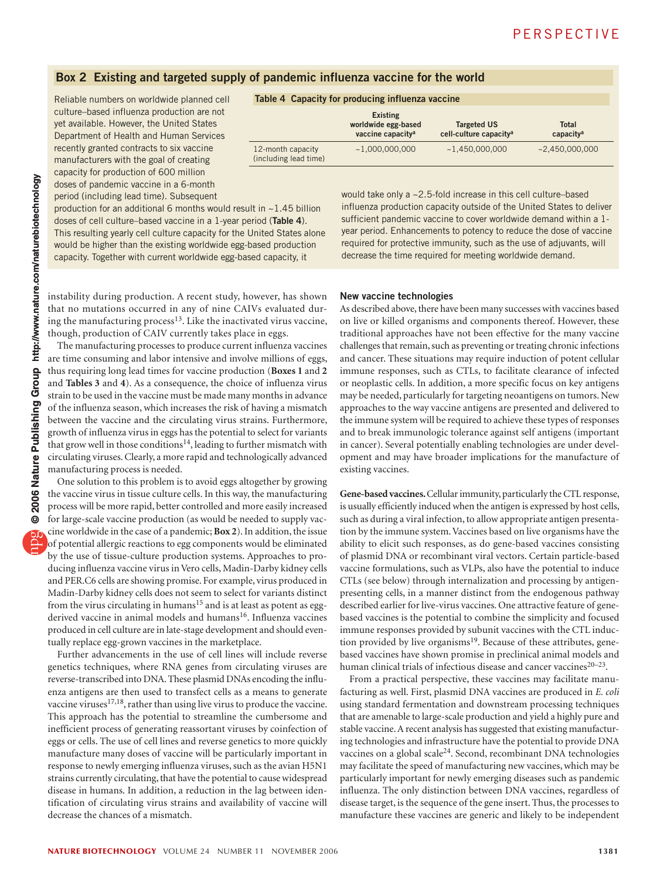## **Box 2 Existing and targeted supply of pandemic influenza vaccine for the world**

 $12$  $(in$ 

Reliable numbers on worldwide planned cell culture–based influenza production are not yet available. However, the United States Department of Health and Human Services recently granted contracts to six vaccine manufacturers with the goal of creating capacity for production of 600 million doses of pandemic vaccine in a 6-month period (including lead time). Subsequent

**Table 4 Capacity for producing influenza vaccine**

|                                       | <b>Existing</b><br>worldwide egg-based<br>vaccine capacity <sup>a</sup> | <b>Targeted US</b><br>cell-culture capacity <sup>a</sup> | <b>Total</b><br>capacity <sup>a</sup> |
|---------------------------------------|-------------------------------------------------------------------------|----------------------------------------------------------|---------------------------------------|
| -month capacity<br>cluding lead time) | ~1,000,000,000                                                          | ~1,450,000,000                                           | ~2,450,000,000                        |

production for an additional 6 months would result in ~1.45 billion doses of cell culture–based vaccine in a 1-year period (**Table 4**). This resulting yearly cell culture capacity for the United States alone would be higher than the existing worldwide egg-based production capacity. Together with current worldwide egg-based capacity, it

instability during production. A recent study, however, has shown that no mutations occurred in any of nine CAIVs evaluated during the manufacturing process<sup>13</sup>. Like the inactivated virus vaccine, though, production of CAIV currently takes place in eggs.

The manufacturing processes to produce current influenza vaccines are time consuming and labor intensive and involve millions of eggs, thus requiring long lead times for vaccine production (**Boxes 1** and **2**  and **Tables 3** and **4**). As a consequence, the choice of influenza virus strain to be used in the vaccine must be made many months in advance of the influenza season, which increases the risk of having a mismatch between the vaccine and the circulating virus strains. Furthermore, growth of influenza virus in eggs has the potential to select for variants that grow well in those conditions<sup>14</sup>, leading to further mismatch with circulating viruses. Clearly, a more rapid and technologically advanced manufacturing process is needed.

One solution to this problem is to avoid eggs altogether by growing the vaccine virus in tissue culture cells. In this way, the manufacturing process will be more rapid, better controlled and more easily increased for large-scale vaccine production (as would be needed to supply vaccine worldwide in the case of a pandemic; **Box 2**). In addition, the issue of potential allergic reactions to egg components would be eliminated by the use of tissue-culture production systems. Approaches to producing influenza vaccine virus in Vero cells, Madin-Darby kidney cells and PER.C6 cells are showing promise. For example, virus produced in Madin-Darby kidney cells does not seem to select for variants distinct from the virus circulating in humans<sup>15</sup> and is at least as potent as eggderived vaccine in animal models and humans<sup>16</sup>. Influenza vaccines produced in cell culture are in late-stage development and should eventually replace egg-grown vaccines in the marketplace.

Further advancements in the use of cell lines will include reverse genetics techniques, where RNA genes from circulating viruses are reverse-transcribed into DNA. These plasmid DNAs encoding the influenza antigens are then used to transfect cells as a means to generate vaccine viruses<sup>17,18</sup>, rather than using live virus to produce the vaccine. This approach has the potential to streamline the cumbersome and inefficient process of generating reassortant viruses by coinfection of eggs or cells. The use of cell lines and reverse genetics to more quickly manufacture many doses of vaccine will be particularly important in response to newly emerging influenza viruses, such as the avian H5N1 strains currently circulating, that have the potential to cause widespread disease in humans. In addition, a reduction in the lag between identification of circulating virus strains and availability of vaccine will decrease the chances of a mismatch.

would take only a ~2.5-fold increase in this cell culture–based influenza production capacity outside of the United States to deliver sufficient pandemic vaccine to cover worldwide demand within a 1 year period. Enhancements to potency to reduce the dose of vaccine required for protective immunity, such as the use of adjuvants, will decrease the time required for meeting worldwide demand.

#### **New vaccine technologies**

As described above, there have been many successes with vaccines based on live or killed organisms and components thereof. However, these traditional approaches have not been effective for the many vaccine challenges that remain, such as preventing or treating chronic infections and cancer. These situations may require induction of potent cellular immune responses, such as CTLs, to facilitate clearance of infected or neoplastic cells. In addition, a more specific focus on key antigens may be needed, particularly for targeting neoantigens on tumors. New approaches to the way vaccine antigens are presented and delivered to the immune system will be required to achieve these types of responses and to break immunologic tolerance against self antigens (important in cancer). Several potentially enabling technologies are under development and may have broader implications for the manufacture of existing vaccines.

**Gene-based vaccines.** Cellular immunity, particularly the CTL response, is usually efficiently induced when the antigen is expressed by host cells, such as during a viral infection, to allow appropriate antigen presentation by the immune system. Vaccines based on live organisms have the ability to elicit such responses, as do gene-based vaccines consisting of plasmid DNA or recombinant viral vectors. Certain particle-based vaccine formulations, such as VLPs, also have the potential to induce CTLs (see below) through internalization and processing by antigenpresenting cells, in a manner distinct from the endogenous pathway described earlier for live-virus vaccines. One attractive feature of genebased vaccines is the potential to combine the simplicity and focused immune responses provided by subunit vaccines with the CTL induction provided by live organisms<sup>19</sup>. Because of these attributes, genebased vaccines have shown promise in preclinical animal models and human clinical trials of infectious disease and cancer vaccines $20-23$ .

From a practical perspective, these vaccines may facilitate manufacturing as well. First, plasmid DNA vaccines are produced in *E. coli* using standard fermentation and downstream processing techniques that are amenable to large-scale production and yield a highly pure and stable vaccine. A recent analysis has suggested that existing manufacturing technologies and infrastructure have the potential to provide DNA vaccines on a global scale<sup>24</sup>. Second, recombinant DNA technologies may facilitate the speed of manufacturing new vaccines, which may be particularly important for newly emerging diseases such as pandemic influenza. The only distinction between DNA vaccines, regardless of disease target, is the sequence of the gene insert. Thus, the processes to manufacture these vaccines are generic and likely to be independent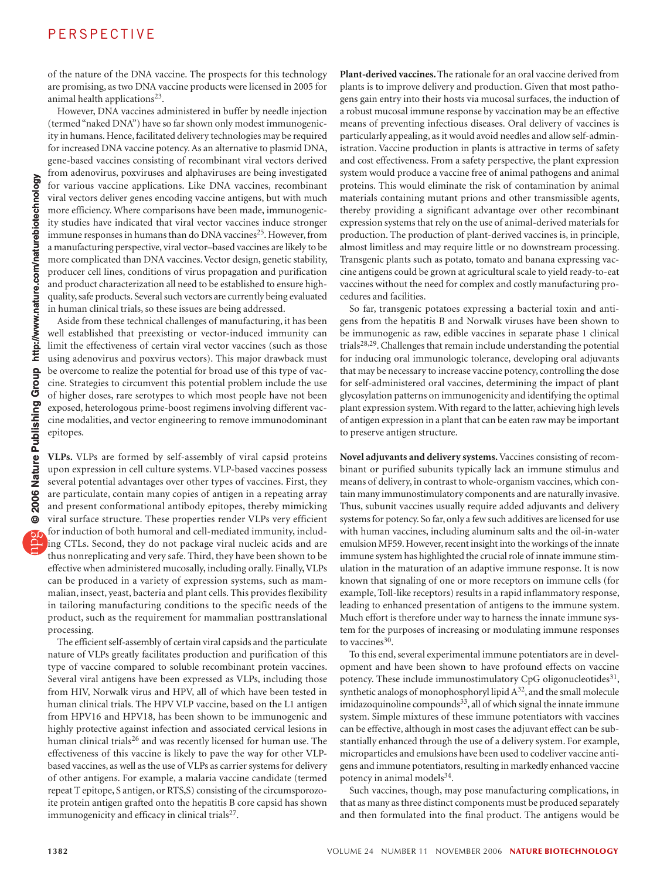of the nature of the DNA vaccine. The prospects for this technology are promising, as two DNA vaccine products were licensed in 2005 for animal health applications $23$ .

However, DNA vaccines administered in buffer by needle injection (termed "naked DNA") have so far shown only modest immunogenicity in humans. Hence, facilitated delivery technologies may be required for increased DNA vaccine potency. As an alternative to plasmid DNA, gene-based vaccines consisting of recombinant viral vectors derived from adenovirus, poxviruses and alphaviruses are being investigated for various vaccine applications. Like DNA vaccines, recombinant viral vectors deliver genes encoding vaccine antigens, but with much more efficiency. Where comparisons have been made, immunogenicity studies have indicated that viral vector vaccines induce stronger immune responses in humans than do DNA vaccines<sup>25</sup>. However, from a manufacturing perspective, viral vector–based vaccines are likely to be more complicated than DNA vaccines. Vector design, genetic stability, producer cell lines, conditions of virus propagation and purification and product characterization all need to be established to ensure highquality, safe products. Several such vectors are currently being evaluated in human clinical trials, so these issues are being addressed.

Aside from these technical challenges of manufacturing, it has been well established that preexisting or vector-induced immunity can limit the effectiveness of certain viral vector vaccines (such as those using adenovirus and poxvirus vectors). This major drawback must be overcome to realize the potential for broad use of this type of vaccine. Strategies to circumvent this potential problem include the use of higher doses, rare serotypes to which most people have not been exposed, heterologous prime-boost regimens involving different vaccine modalities, and vector engineering to remove immunodominant epitopes.

**VLPs.** VLPs are formed by self-assembly of viral capsid proteins upon expression in cell culture systems. VLP-based vaccines possess several potential advantages over other types of vaccines. First, they are particulate, contain many copies of antigen in a repeating array and present conformational antibody epitopes, thereby mimicking viral surface structure. These properties render VLPs very efficient for induction of both humoral and cell-mediated immunity, including CTLs. Second, they do not package viral nucleic acids and are thus nonreplicating and very safe. Third, they have been shown to be effective when administered mucosally, including orally. Finally, VLPs can be produced in a variety of expression systems, such as mammalian, insect, yeast, bacteria and plant cells. This provides flexibility in tailoring manufacturing conditions to the specific needs of the product, such as the requirement for mammalian posttranslational processing.

The efficient self-assembly of certain viral capsids and the particulate nature of VLPs greatly facilitates production and purification of this type of vaccine compared to soluble recombinant protein vaccines. Several viral antigens have been expressed as VLPs, including those from HIV, Norwalk virus and HPV, all of which have been tested in human clinical trials. The HPV VLP vaccine, based on the L1 antigen from HPV16 and HPV18, has been shown to be immunogenic and highly protective against infection and associated cervical lesions in human clinical trials<sup>26</sup> and was recently licensed for human use. The effectiveness of this vaccine is likely to pave the way for other VLPbased vaccines, as well as the use of VLPs as carrier systems for delivery of other antigens. For example, a malaria vaccine candidate (termed repeat T epitope, S antigen, or RTS,S) consisting of the circumsporozoite protein antigen grafted onto the hepatitis B core capsid has shown immunogenicity and efficacy in clinical trials $27$ .

**Plant-derived vaccines.** The rationale for an oral vaccine derived from plants is to improve delivery and production. Given that most pathogens gain entry into their hosts via mucosal surfaces, the induction of a robust mucosal immune response by vaccination may be an effective means of preventing infectious diseases. Oral delivery of vaccines is particularly appealing, as it would avoid needles and allow self-administration. Vaccine production in plants is attractive in terms of safety and cost effectiveness. From a safety perspective, the plant expression system would produce a vaccine free of animal pathogens and animal proteins. This would eliminate the risk of contamination by animal materials containing mutant prions and other transmissible agents, thereby providing a significant advantage over other recombinant expression systems that rely on the use of animal-derived materials for production. The production of plant-derived vaccines is, in principle, almost limitless and may require little or no downstream processing. Transgenic plants such as potato, tomato and banana expressing vaccine antigens could be grown at agricultural scale to yield ready-to-eat vaccines without the need for complex and costly manufacturing procedures and facilities.

So far, transgenic potatoes expressing a bacterial toxin and antigens from the hepatitis B and Norwalk viruses have been shown to be immunogenic as raw, edible vaccines in separate phase 1 clinical trials<sup>28,29</sup>. Challenges that remain include understanding the potential for inducing oral immunologic tolerance, developing oral adjuvants that may be necessary to increase vaccine potency, controlling the dose for self-administered oral vaccines, determining the impact of plant glycosylation patterns on immunogenicity and identifying the optimal plant expression system. With regard to the latter, achieving high levels of antigen expression in a plant that can be eaten raw may be important to preserve antigen structure.

**Novel adjuvants and delivery systems.** Vaccines consisting of recombinant or purified subunits typically lack an immune stimulus and means of delivery, in contrast to whole-organism vaccines, which contain many immunostimulatory components and are naturally invasive. Thus, subunit vaccines usually require added adjuvants and delivery systems for potency. So far, only a few such additives are licensed for use with human vaccines, including aluminum salts and the oil-in-water emulsion MF59. However, recent insight into the workings of the innate immune system has highlighted the crucial role of innate immune stimulation in the maturation of an adaptive immune response. It is now known that signaling of one or more receptors on immune cells (for example, Toll-like receptors) results in a rapid inflammatory response, leading to enhanced presentation of antigens to the immune system. Much effort is therefore under way to harness the innate immune system for the purposes of increasing or modulating immune responses to vaccines $30$ .

To this end, several experimental immune potentiators are in development and have been shown to have profound effects on vaccine potency. These include immunostimulatory CpG oligonucleotides<sup>31</sup>, synthetic analogs of monophosphoryl lipid  $A^{32}$ , and the small molecule imidazoquinoline compounds<sup>33</sup>, all of which signal the innate immune system. Simple mixtures of these immune potentiators with vaccines can be effective, although in most cases the adjuvant effect can be substantially enhanced through the use of a delivery system. For example, microparticles and emulsions have been used to codeliver vaccine antigens and immune potentiators, resulting in markedly enhanced vaccine potency in animal models<sup>34</sup>.

Such vaccines, though, may pose manufacturing complications, in that as many as three distinct components must be produced separately and then formulated into the final product. The antigens would be